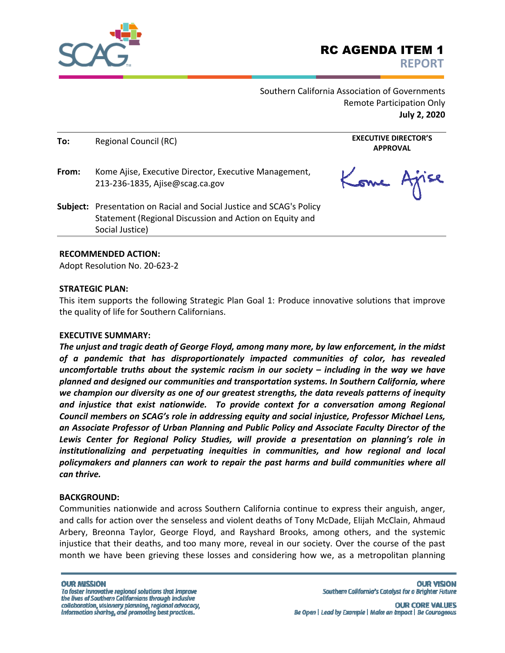

Southern California Association of Governments Remote Participation Only **July 2, 2020** 

| To:   | Regional Council (RC)<br>Kome Ajise, Executive Director, Executive Management,<br>213-236-1835, Ajise@scag.ca.gov                                         | <b>EXECUTIVE DIRECTOR'S</b><br><b>APPROVAL</b> |  |
|-------|-----------------------------------------------------------------------------------------------------------------------------------------------------------|------------------------------------------------|--|
| From: |                                                                                                                                                           | Kome Ajise                                     |  |
|       | <b>Subject:</b> Presentation on Racial and Social Justice and SCAG's Policy<br>Statement (Regional Discussion and Action on Equity and<br>Social Justice) |                                                |  |

#### **RECOMMENDED ACTION:**

Adopt Resolution No. 20‐623‐2

#### **STRATEGIC PLAN:**

This item supports the following Strategic Plan Goal 1: Produce innovative solutions that improve the quality of life for Southern Californians.

#### **EXECUTIVE SUMMARY:**

*The unjust and tragic death of George Floyd, among many more, by law enforcement, in the midst of a pandemic that has disproportionately impacted communities of color, has revealed uncomfortable truths about the systemic racism in our society – including in the way we have planned and designed our communities and transportation systems. In Southern California, where we champion our diversity as one of our greatest strengths, the data reveals patterns of inequity and injustice that exist nationwide. To provide context for a conversation among Regional Council members on SCAG's role in addressing equity and social injustice, Professor Michael Lens, an Associate Professor of Urban Planning and Public Policy and Associate Faculty Director of the Lewis Center for Regional Policy Studies, will provide a presentation on planning's role in institutionalizing and perpetuating inequities in communities, and how regional and local policymakers and planners can work to repair the past harms and build communities where all can thrive.* 

#### **BACKGROUND:**

Communities nationwide and across Southern California continue to express their anguish, anger, and calls for action over the senseless and violent deaths of Tony McDade, Elijah McClain, Ahmaud Arbery, Breonna Taylor, George Floyd, and Rayshard Brooks, among others, and the systemic injustice that their deaths, and too many more, reveal in our society. Over the course of the past month we have been grieving these losses and considering how we, as a metropolitan planning

Be Open | Lead by Example | Make an Impact | Be Courageous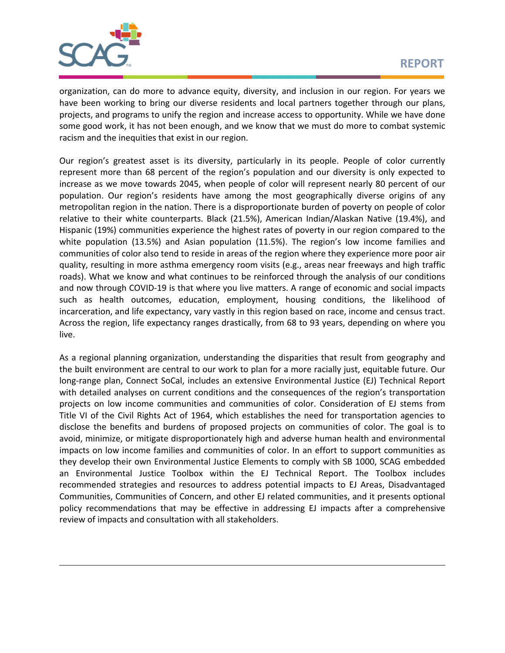

organization, can do more to advance equity, diversity, and inclusion in our region. For years we have been working to bring our diverse residents and local partners together through our plans, projects, and programs to unify the region and increase access to opportunity. While we have done some good work, it has not been enough, and we know that we must do more to combat systemic racism and the inequities that exist in our region.

Our region's greatest asset is its diversity, particularly in its people. People of color currently represent more than 68 percent of the region's population and our diversity is only expected to increase as we move towards 2045, when people of color will represent nearly 80 percent of our population. Our region's residents have among the most geographically diverse origins of any metropolitan region in the nation. There is a disproportionate burden of poverty on people of color relative to their white counterparts. Black (21.5%), American Indian/Alaskan Native (19.4%), and Hispanic (19%) communities experience the highest rates of poverty in our region compared to the white population (13.5%) and Asian population (11.5%). The region's low income families and communities of color also tend to reside in areas of the region where they experience more poor air quality, resulting in more asthma emergency room visits (e.g., areas near freeways and high traffic roads). What we know and what continues to be reinforced through the analysis of our conditions and now through COVID-19 is that where you live matters. A range of economic and social impacts such as health outcomes, education, employment, housing conditions, the likelihood of incarceration, and life expectancy, vary vastly in this region based on race, income and census tract. Across the region, life expectancy ranges drastically, from 68 to 93 years, depending on where you live.

As a regional planning organization, understanding the disparities that result from geography and the built environment are central to our work to plan for a more racially just, equitable future. Our long-range plan, Connect SoCal, includes an extensive Environmental Justice (EJ) Technical Report with detailed analyses on current conditions and the consequences of the region's transportation projects on low income communities and communities of color. Consideration of EJ stems from Title VI of the Civil Rights Act of 1964, which establishes the need for transportation agencies to disclose the benefits and burdens of proposed projects on communities of color. The goal is to avoid, minimize, or mitigate disproportionately high and adverse human health and environmental impacts on low income families and communities of color. In an effort to support communities as they develop their own Environmental Justice Elements to comply with SB 1000, SCAG embedded an Environmental Justice Toolbox within the EJ Technical Report. The Toolbox includes recommended strategies and resources to address potential impacts to EJ Areas, Disadvantaged Communities, Communities of Concern, and other EJ related communities, and it presents optional policy recommendations that may be effective in addressing EJ impacts after a comprehensive review of impacts and consultation with all stakeholders.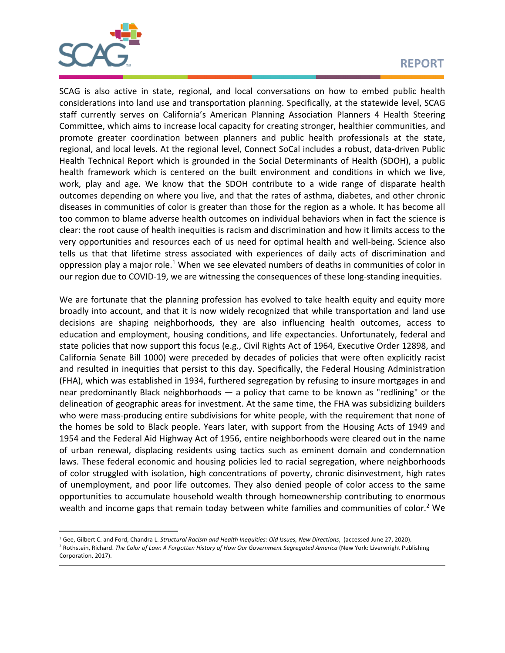

# **REPORT**

SCAG is also active in state, regional, and local conversations on how to embed public health considerations into land use and transportation planning. Specifically, at the statewide level, SCAG staff currently serves on California's American Planning Association Planners 4 Health Steering Committee, which aims to increase local capacity for creating stronger, healthier communities, and promote greater coordination between planners and public health professionals at the state, regional, and local levels. At the regional level, Connect SoCal includes a robust, data‐driven Public Health Technical Report which is grounded in the Social Determinants of Health (SDOH), a public health framework which is centered on the built environment and conditions in which we live, work, play and age. We know that the SDOH contribute to a wide range of disparate health outcomes depending on where you live, and that the rates of asthma, diabetes, and other chronic diseases in communities of color is greater than those for the region as a whole. It has become all too common to blame adverse health outcomes on individual behaviors when in fact the science is clear: the root cause of health inequities is racism and discrimination and how it limits access to the very opportunities and resources each of us need for optimal health and well‐being. Science also tells us that that lifetime stress associated with experiences of daily acts of discrimination and oppression play a major role.<sup>1</sup> When we see elevated numbers of deaths in communities of color in our region due to COVID-19, we are witnessing the consequences of these long-standing inequities.

We are fortunate that the planning profession has evolved to take health equity and equity more broadly into account, and that it is now widely recognized that while transportation and land use decisions are shaping neighborhoods, they are also influencing health outcomes, access to education and employment, housing conditions, and life expectancies. Unfortunately, federal and state policies that now support this focus (e.g., Civil Rights Act of 1964, Executive Order 12898, and California Senate Bill 1000) were preceded by decades of policies that were often explicitly racist and resulted in inequities that persist to this day. Specifically, the Federal Housing Administration (FHA), which was established in 1934, furthered segregation by refusing to insure mortgages in and near predominantly Black neighborhoods  $-$  a policy that came to be known as "redlining" or the delineation of geographic areas for investment. At the same time, the FHA was subsidizing builders who were mass-producing entire subdivisions for white people, with the requirement that none of the homes be sold to Black people. Years later, with support from the Housing Acts of 1949 and 1954 and the Federal Aid Highway Act of 1956, entire neighborhoods were cleared out in the name of urban renewal, displacing residents using tactics such as eminent domain and condemnation laws. These federal economic and housing policies led to racial segregation, where neighborhoods of color struggled with isolation, high concentrations of poverty, chronic disinvestment, high rates of unemployment, and poor life outcomes. They also denied people of color access to the same opportunities to accumulate household wealth through homeownership contributing to enormous wealth and income gaps that remain today between white families and communities of color.<sup>2</sup> We

<sup>&</sup>lt;sup>1</sup> Gee, Gilbert C. and Ford, Chandra L. *Structural Racism and Health Inequities: Old Issues, New Directions, (accessed June 27, 2020)*. 2 Rothstein, Richard. *The Color of Law: A Forgotten History of How Our Government Segregated America* (New York: Liverwright Publishing Corporation, 2017).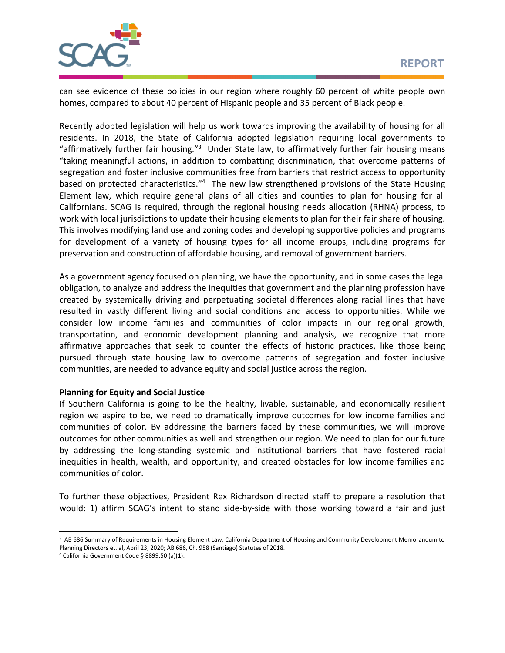

can see evidence of these policies in our region where roughly 60 percent of white people own homes, compared to about 40 percent of Hispanic people and 35 percent of Black people.

Recently adopted legislation will help us work towards improving the availability of housing for all residents. In 2018, the State of California adopted legislation requiring local governments to "affirmatively further fair housing."<sup>3</sup> Under State law, to affirmatively further fair housing means "taking meaningful actions, in addition to combatting discrimination, that overcome patterns of segregation and foster inclusive communities free from barriers that restrict access to opportunity based on protected characteristics."<sup>4</sup> The new law strengthened provisions of the State Housing Element law, which require general plans of all cities and counties to plan for housing for all Californians. SCAG is required, through the regional housing needs allocation (RHNA) process, to work with local jurisdictions to update their housing elements to plan for their fair share of housing. This involves modifying land use and zoning codes and developing supportive policies and programs for development of a variety of housing types for all income groups, including programs for preservation and construction of affordable housing, and removal of government barriers.

As a government agency focused on planning, we have the opportunity, and in some cases the legal obligation, to analyze and address the inequities that government and the planning profession have created by systemically driving and perpetuating societal differences along racial lines that have resulted in vastly different living and social conditions and access to opportunities. While we consider low income families and communities of color impacts in our regional growth, transportation, and economic development planning and analysis, we recognize that more affirmative approaches that seek to counter the effects of historic practices, like those being pursued through state housing law to overcome patterns of segregation and foster inclusive communities, are needed to advance equity and social justice across the region.

## **Planning for Equity and Social Justice**

If Southern California is going to be the healthy, livable, sustainable, and economically resilient region we aspire to be, we need to dramatically improve outcomes for low income families and communities of color. By addressing the barriers faced by these communities, we will improve outcomes for other communities as well and strengthen our region. We need to plan for our future by addressing the long‐standing systemic and institutional barriers that have fostered racial inequities in health, wealth, and opportunity, and created obstacles for low income families and communities of color.

To further these objectives, President Rex Richardson directed staff to prepare a resolution that would: 1) affirm SCAG's intent to stand side-by-side with those working toward a fair and just

<sup>&</sup>lt;sup>3</sup> AB 686 Summary of Requirements in Housing Element Law, California Department of Housing and Community Development Memorandum to Planning Directors et. al, April 23, 2020; AB 686, Ch. 958 (Santiago) Statutes of 2018.

<sup>4</sup> California Government Code § 8899.50 (a)(1).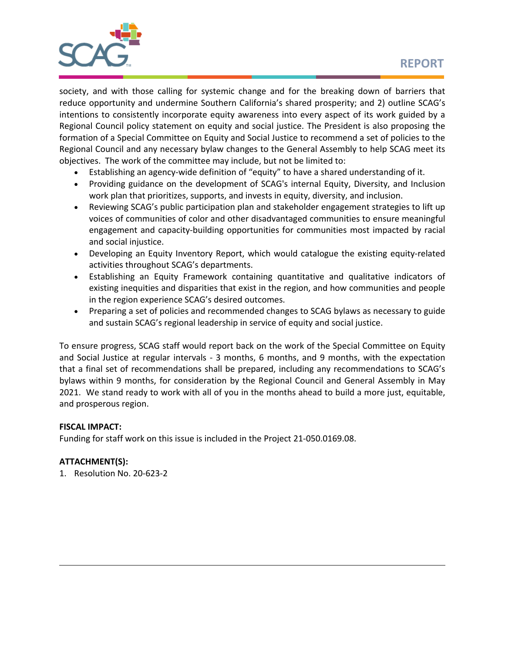

society, and with those calling for systemic change and for the breaking down of barriers that reduce opportunity and undermine Southern California's shared prosperity; and 2) outline SCAG's intentions to consistently incorporate equity awareness into every aspect of its work guided by a Regional Council policy statement on equity and social justice. The President is also proposing the formation of a Special Committee on Equity and Social Justice to recommend a set of policies to the Regional Council and any necessary bylaw changes to the General Assembly to help SCAG meet its objectives. The work of the committee may include, but not be limited to:

- Establishing an agency-wide definition of "equity" to have a shared understanding of it.
- Providing guidance on the development of SCAG's internal Equity, Diversity, and Inclusion work plan that prioritizes, supports, and invests in equity, diversity, and inclusion.
- Reviewing SCAG's public participation plan and stakeholder engagement strategies to lift up voices of communities of color and other disadvantaged communities to ensure meaningful engagement and capacity-building opportunities for communities most impacted by racial and social injustice.
- Developing an Equity Inventory Report, which would catalogue the existing equity-related activities throughout SCAG's departments.
- Establishing an Equity Framework containing quantitative and qualitative indicators of existing inequities and disparities that exist in the region, and how communities and people in the region experience SCAG's desired outcomes.
- Preparing a set of policies and recommended changes to SCAG bylaws as necessary to guide and sustain SCAG's regional leadership in service of equity and social justice.

To ensure progress, SCAG staff would report back on the work of the Special Committee on Equity and Social Justice at regular intervals - 3 months, 6 months, and 9 months, with the expectation that a final set of recommendations shall be prepared, including any recommendations to SCAG's bylaws within 9 months, for consideration by the Regional Council and General Assembly in May 2021. We stand ready to work with all of you in the months ahead to build a more just, equitable, and prosperous region.

## **FISCAL IMPACT:**

Funding for staff work on this issue is included in the Project 21‐050.0169.08.

## **ATTACHMENT(S):**

1. Resolution No. 20‐623‐2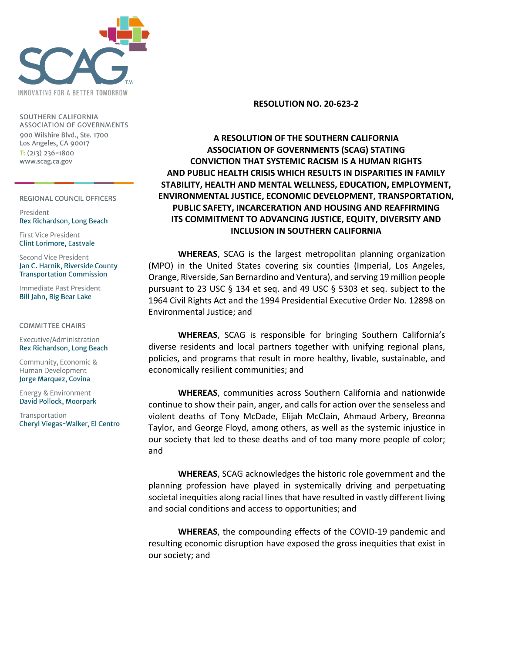

SOUTHERN CALIFORNIA **ASSOCIATION OF GOVERNMENTS** 900 Wilshire Blvd., Ste. 1700 Los Angeles, CA 90017  $T: (213)$  236-1800 www.scag.ca.gov

REGIONAL COUNCIL OFFICERS

President Rex Richardson, Long Beach

First Vice President **Clint Lorimore, Eastvale** 

Second Vice President Jan C. Harnik, Riverside County **Transportation Commission** 

Immediate Past President Bill Jahn, Big Bear Lake

#### **COMMITTEE CHAIRS**

Executive/Administration Rex Richardson, Long Beach

Community, Economic & Human Development Jorge Marquez, Covina

Energy & Environment David Pollock, Moorpark

Transportation Cheryl Viegas-Walker, El Centro

#### **RESOLUTION NO. 20-623-2**

# **A RESOLUTION OF THE SOUTHERN CALIFORNIA ASSOCIATION OF GOVERNMENTS (SCAG) STATING CONVICTION THAT SYSTEMIC RACISM IS A HUMAN RIGHTS AND PUBLIC HEALTH CRISIS WHICH RESULTS IN DISPARITIES IN FAMILY STABILITY, HEALTH AND MENTAL WELLNESS, EDUCATION, EMPLOYMENT, ENVIRONMENTAL JUSTICE, ECONOMIC DEVELOPMENT, TRANSPORTATION, PUBLIC SAFETY, INCARCERATION AND HOUSING AND REAFFIRMING ITS COMMITMENT TO ADVANCING JUSTICE, EQUITY, DIVERSITY AND INCLUSION IN SOUTHERN CALIFORNIA**

**WHEREAS**, SCAG is the largest metropolitan planning organization (MPO) in the United States covering six counties (Imperial, Los Angeles, Orange, Riverside, San Bernardino and Ventura), and serving 19 million people pursuant to 23 USC § 134 et seq. and 49 USC § 5303 et seq. subject to the 1964 Civil Rights Act and the 1994 Presidential Executive Order No. 12898 on Environmental Justice; and

**WHEREAS**, SCAG is responsible for bringing Southern California's diverse residents and local partners together with unifying regional plans, policies, and programs that result in more healthy, livable, sustainable, and economically resilient communities; and

**WHEREAS**, communities across Southern California and nationwide continue to show their pain, anger, and calls for action over the senseless and violent deaths of Tony McDade, Elijah McClain, Ahmaud Arbery, Breonna Taylor, and George Floyd, among others, as well as the systemic injustice in our society that led to these deaths and of too many more people of color; and

**WHEREAS**, SCAG acknowledges the historic role government and the planning profession have played in systemically driving and perpetuating societal inequities along racial lines that have resulted in vastly different living and social conditions and access to opportunities; and

**WHEREAS**, the compounding effects of the COVID-19 pandemic and resulting economic disruption have exposed the gross inequities that exist in our society; and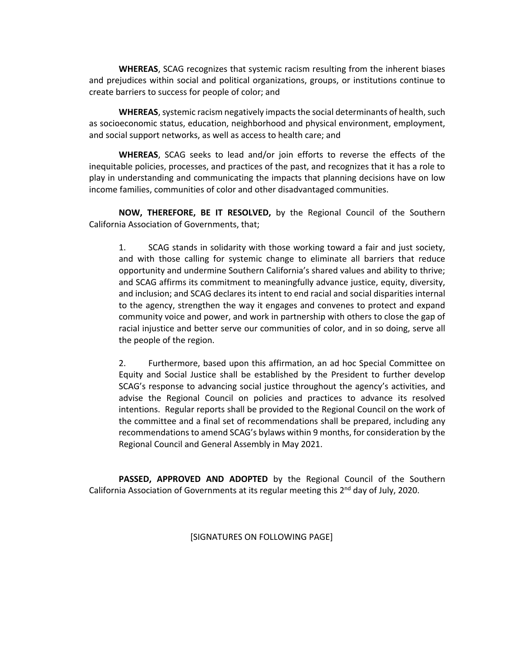**WHEREAS**, SCAG recognizes that systemic racism resulting from the inherent biases and prejudices within social and political organizations, groups, or institutions continue to create barriers to success for people of color; and

**WHEREAS**, systemic racism negatively impacts the social determinants of health, such as socioeconomic status, education, neighborhood and physical environment, employment, and social support networks, as well as access to health care; and

**WHEREAS**, SCAG seeks to lead and/or join efforts to reverse the effects of the inequitable policies, processes, and practices of the past, and recognizes that it has a role to play in understanding and communicating the impacts that planning decisions have on low income families, communities of color and other disadvantaged communities.

**NOW, THEREFORE, BE IT RESOLVED,** by the Regional Council of the Southern California Association of Governments, that;

1. SCAG stands in solidarity with those working toward a fair and just society, and with those calling for systemic change to eliminate all barriers that reduce opportunity and undermine Southern California's shared values and ability to thrive; and SCAG affirms its commitment to meaningfully advance justice, equity, diversity, and inclusion; and SCAG declares its intent to end racial and social disparities internal to the agency, strengthen the way it engages and convenes to protect and expand community voice and power, and work in partnership with others to close the gap of racial injustice and better serve our communities of color, and in so doing, serve all the people of the region.

2. Furthermore, based upon this affirmation, an ad hoc Special Committee on Equity and Social Justice shall be established by the President to further develop SCAG's response to advancing social justice throughout the agency's activities, and advise the Regional Council on policies and practices to advance its resolved intentions. Regular reports shall be provided to the Regional Council on the work of the committee and a final set of recommendations shall be prepared, including any recommendations to amend SCAG's bylaws within 9 months, for consideration by the Regional Council and General Assembly in May 2021.

**PASSED, APPROVED AND ADOPTED** by the Regional Council of the Southern California Association of Governments at its regular meeting this 2<sup>nd</sup> day of July, 2020.

[SIGNATURES ON FOLLOWING PAGE]